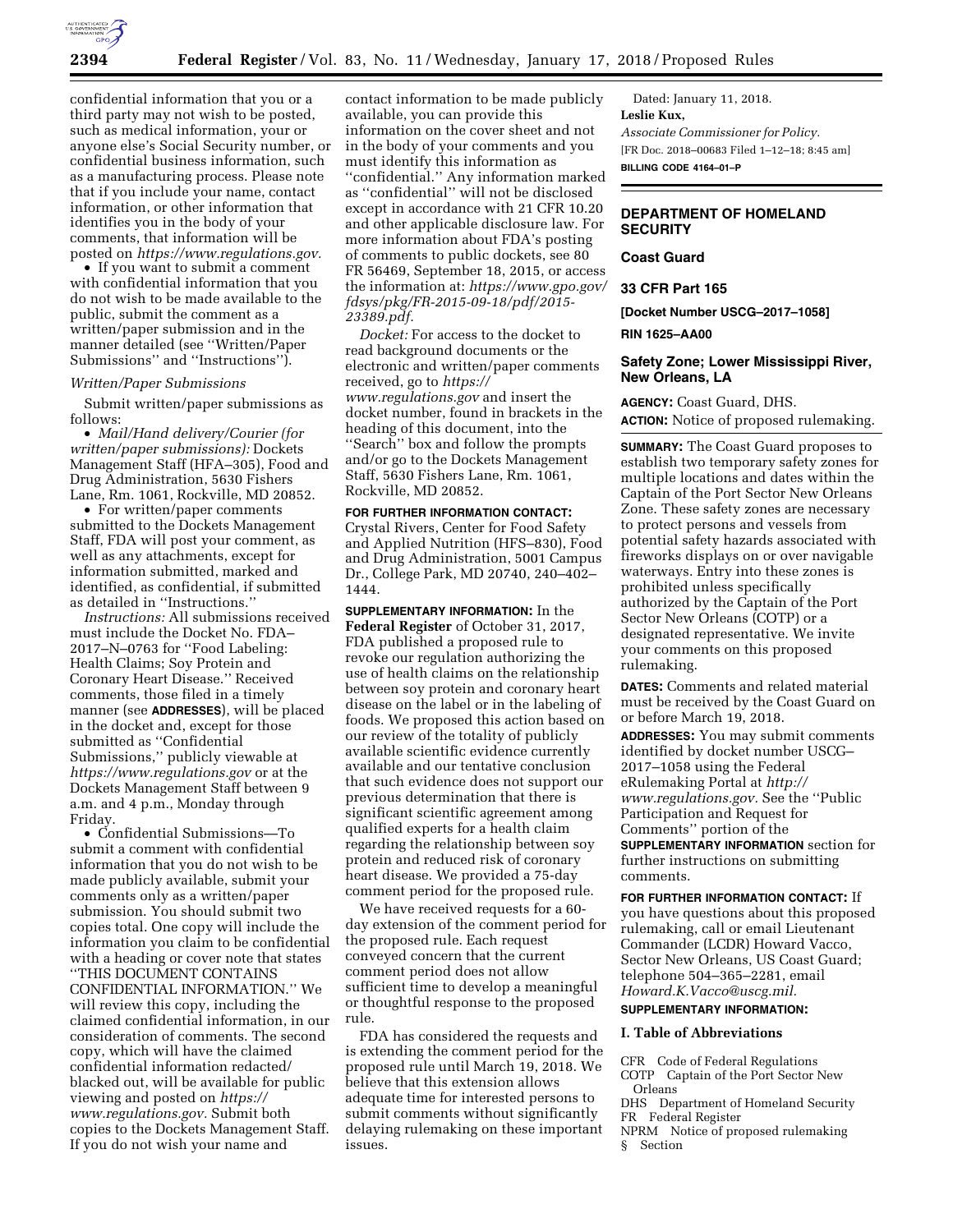

confidential information that you or a third party may not wish to be posted, such as medical information, your or anyone else's Social Security number, or confidential business information, such as a manufacturing process. Please note that if you include your name, contact information, or other information that identifies you in the body of your comments, that information will be posted on *[https://www.regulations.gov.](https://www.regulations.gov)* 

• If you want to submit a comment with confidential information that you do not wish to be made available to the public, submit the comment as a written/paper submission and in the manner detailed (see ''Written/Paper Submissions'' and ''Instructions'').

### *Written/Paper Submissions*

Submit written/paper submissions as follows:

• *Mail/Hand delivery/Courier (for written/paper submissions):* Dockets Management Staff (HFA–305), Food and Drug Administration, 5630 Fishers Lane, Rm. 1061, Rockville, MD 20852.

• For written/paper comments submitted to the Dockets Management Staff, FDA will post your comment, as well as any attachments, except for information submitted, marked and identified, as confidential, if submitted as detailed in ''Instructions.''

*Instructions:* All submissions received must include the Docket No. FDA– 2017–N–0763 for ''Food Labeling: Health Claims; Soy Protein and Coronary Heart Disease.'' Received comments, those filed in a timely manner (see **ADDRESSES**), will be placed in the docket and, except for those submitted as ''Confidential Submissions,'' publicly viewable at *<https://www.regulations.gov>* or at the Dockets Management Staff between 9 a.m. and 4 p.m., Monday through Friday.

• Confidential Submissions—To submit a comment with confidential information that you do not wish to be made publicly available, submit your comments only as a written/paper submission. You should submit two copies total. One copy will include the information you claim to be confidential with a heading or cover note that states ''THIS DOCUMENT CONTAINS CONFIDENTIAL INFORMATION.'' We will review this copy, including the claimed confidential information, in our consideration of comments. The second copy, which will have the claimed confidential information redacted/ blacked out, will be available for public viewing and posted on *[https://](https://www.regulations.gov) [www.regulations.gov.](https://www.regulations.gov)* Submit both copies to the Dockets Management Staff. If you do not wish your name and

contact information to be made publicly available, you can provide this information on the cover sheet and not in the body of your comments and you must identify this information as ''confidential.'' Any information marked as ''confidential'' will not be disclosed except in accordance with 21 CFR 10.20 and other applicable disclosure law. For more information about FDA's posting of comments to public dockets, see 80 FR 56469, September 18, 2015, or access the information at: *[https://www.gpo.gov/](https://www.gpo.gov/fdsys/pkg/FR-2015-09-18/pdf/2015-23389.pdf) [fdsys/pkg/FR-2015-09-18/pdf/2015-](https://www.gpo.gov/fdsys/pkg/FR-2015-09-18/pdf/2015-23389.pdf)  [23389.pdf.](https://www.gpo.gov/fdsys/pkg/FR-2015-09-18/pdf/2015-23389.pdf)* 

*Docket:* For access to the docket to read background documents or the electronic and written/paper comments received, go to *[https://](https://www.regulations.gov) [www.regulations.gov](https://www.regulations.gov)* and insert the docket number, found in brackets in the heading of this document, into the "Search<sup>"</sup> box and follow the prompts and/or go to the Dockets Management Staff, 5630 Fishers Lane, Rm. 1061, Rockville, MD 20852.

**FOR FURTHER INFORMATION CONTACT:**  Crystal Rivers, Center for Food Safety and Applied Nutrition (HFS–830), Food and Drug Administration, 5001 Campus Dr., College Park, MD 20740, 240–402– 1444.

**SUPPLEMENTARY INFORMATION:** In the **Federal Register** of October 31, 2017, FDA published a proposed rule to revoke our regulation authorizing the use of health claims on the relationship between soy protein and coronary heart disease on the label or in the labeling of foods. We proposed this action based on our review of the totality of publicly available scientific evidence currently available and our tentative conclusion that such evidence does not support our previous determination that there is significant scientific agreement among qualified experts for a health claim regarding the relationship between soy protein and reduced risk of coronary heart disease. We provided a 75-day comment period for the proposed rule.

We have received requests for a 60 day extension of the comment period for the proposed rule. Each request conveyed concern that the current comment period does not allow sufficient time to develop a meaningful or thoughtful response to the proposed rule.

FDA has considered the requests and is extending the comment period for the proposed rule until March 19, 2018. We believe that this extension allows adequate time for interested persons to submit comments without significantly delaying rulemaking on these important issues.

Dated: January 11, 2018. **Leslie Kux,**  *Associate Commissioner for Policy.*  [FR Doc. 2018–00683 Filed 1–12–18; 8:45 am] **BILLING CODE 4164–01–P** 

## **DEPARTMENT OF HOMELAND SECURITY**

### **Coast Guard**

**33 CFR Part 165** 

**[Docket Number USCG–2017–1058]** 

### **RIN 1625–AA00**

## **Safety Zone; Lower Mississippi River, New Orleans, LA**

**AGENCY:** Coast Guard, DHS. **ACTION:** Notice of proposed rulemaking.

**SUMMARY:** The Coast Guard proposes to establish two temporary safety zones for multiple locations and dates within the Captain of the Port Sector New Orleans Zone. These safety zones are necessary to protect persons and vessels from potential safety hazards associated with fireworks displays on or over navigable waterways. Entry into these zones is prohibited unless specifically authorized by the Captain of the Port Sector New Orleans (COTP) or a designated representative. We invite your comments on this proposed rulemaking.

**DATES:** Comments and related material must be received by the Coast Guard on or before March 19, 2018.

**ADDRESSES:** You may submit comments identified by docket number USCG– 2017–1058 using the Federal eRulemaking Portal at *[http://](http://www.regulations.gov) [www.regulations.gov.](http://www.regulations.gov)* See the ''Public Participation and Request for Comments'' portion of the **SUPPLEMENTARY INFORMATION** section for further instructions on submitting comments.

**FOR FURTHER INFORMATION CONTACT:** If you have questions about this proposed rulemaking, call or email Lieutenant Commander (LCDR) Howard Vacco, Sector New Orleans, US Coast Guard; telephone 504–365–2281, email *[Howard.K.Vacco@uscg.mil.](mailto:Howard.K.Vacco@uscg.mil)* 

# **SUPPLEMENTARY INFORMATION:**

## **I. Table of Abbreviations**

CFR Code of Federal Regulations COTP Captain of the Port Sector New Orleans

DHS Department of Homeland Security FR Federal Register

NPRM Notice of proposed rulemaking § Section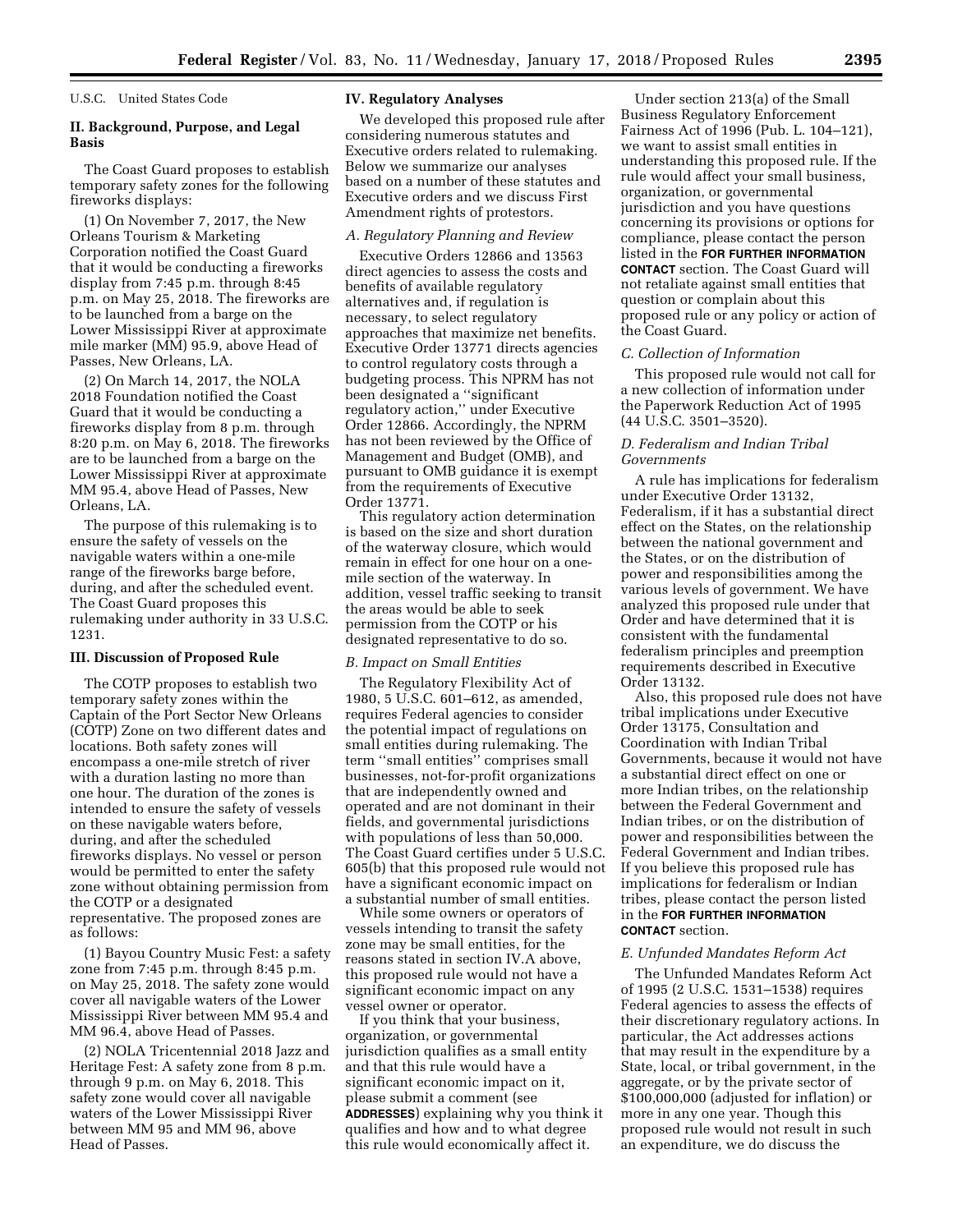U.S.C. United States Code

## **II. Background, Purpose, and Legal Basis**

The Coast Guard proposes to establish temporary safety zones for the following fireworks displays:

(1) On November 7, 2017, the New Orleans Tourism & Marketing Corporation notified the Coast Guard that it would be conducting a fireworks display from 7:45 p.m. through 8:45 p.m. on May 25, 2018. The fireworks are to be launched from a barge on the Lower Mississippi River at approximate mile marker (MM) 95.9, above Head of Passes, New Orleans, LA.

(2) On March 14, 2017, the NOLA 2018 Foundation notified the Coast Guard that it would be conducting a fireworks display from 8 p.m. through 8:20 p.m. on May 6, 2018. The fireworks are to be launched from a barge on the Lower Mississippi River at approximate MM 95.4, above Head of Passes, New Orleans, LA.

The purpose of this rulemaking is to ensure the safety of vessels on the navigable waters within a one-mile range of the fireworks barge before, during, and after the scheduled event. The Coast Guard proposes this rulemaking under authority in 33 U.S.C. 1231.

## **III. Discussion of Proposed Rule**

The COTP proposes to establish two temporary safety zones within the Captain of the Port Sector New Orleans (COTP) Zone on two different dates and locations. Both safety zones will encompass a one-mile stretch of river with a duration lasting no more than one hour. The duration of the zones is intended to ensure the safety of vessels on these navigable waters before, during, and after the scheduled fireworks displays. No vessel or person would be permitted to enter the safety zone without obtaining permission from the COTP or a designated representative. The proposed zones are as follows:

(1) Bayou Country Music Fest: a safety zone from 7:45 p.m. through 8:45 p.m. on May 25, 2018. The safety zone would cover all navigable waters of the Lower Mississippi River between MM 95.4 and MM 96.4, above Head of Passes.

(2) NOLA Tricentennial 2018 Jazz and Heritage Fest: A safety zone from 8 p.m. through 9 p.m. on May 6, 2018. This safety zone would cover all navigable waters of the Lower Mississippi River between MM 95 and MM 96, above Head of Passes.

### **IV. Regulatory Analyses**

We developed this proposed rule after considering numerous statutes and Executive orders related to rulemaking. Below we summarize our analyses based on a number of these statutes and Executive orders and we discuss First Amendment rights of protestors.

### *A. Regulatory Planning and Review*

Executive Orders 12866 and 13563 direct agencies to assess the costs and benefits of available regulatory alternatives and, if regulation is necessary, to select regulatory approaches that maximize net benefits. Executive Order 13771 directs agencies to control regulatory costs through a budgeting process. This NPRM has not been designated a ''significant regulatory action,'' under Executive Order 12866. Accordingly, the NPRM has not been reviewed by the Office of Management and Budget (OMB), and pursuant to OMB guidance it is exempt from the requirements of Executive Order 13771.

This regulatory action determination is based on the size and short duration of the waterway closure, which would remain in effect for one hour on a onemile section of the waterway. In addition, vessel traffic seeking to transit the areas would be able to seek permission from the COTP or his designated representative to do so.

### *B. Impact on Small Entities*

The Regulatory Flexibility Act of 1980, 5 U.S.C. 601–612, as amended, requires Federal agencies to consider the potential impact of regulations on small entities during rulemaking. The term ''small entities'' comprises small businesses, not-for-profit organizations that are independently owned and operated and are not dominant in their fields, and governmental jurisdictions with populations of less than 50,000. The Coast Guard certifies under 5 U.S.C. 605(b) that this proposed rule would not have a significant economic impact on a substantial number of small entities.

While some owners or operators of vessels intending to transit the safety zone may be small entities, for the reasons stated in section IV.A above, this proposed rule would not have a significant economic impact on any vessel owner or operator.

If you think that your business, organization, or governmental jurisdiction qualifies as a small entity and that this rule would have a significant economic impact on it, please submit a comment (see **ADDRESSES**) explaining why you think it qualifies and how and to what degree this rule would economically affect it.

Under section 213(a) of the Small Business Regulatory Enforcement Fairness Act of 1996 (Pub. L. 104–121), we want to assist small entities in understanding this proposed rule. If the rule would affect your small business, organization, or governmental jurisdiction and you have questions concerning its provisions or options for compliance, please contact the person listed in the **FOR FURTHER INFORMATION CONTACT** section. The Coast Guard will not retaliate against small entities that question or complain about this proposed rule or any policy or action of the Coast Guard.

#### *C. Collection of Information*

This proposed rule would not call for a new collection of information under the Paperwork Reduction Act of 1995 (44 U.S.C. 3501–3520).

### *D. Federalism and Indian Tribal Governments*

A rule has implications for federalism under Executive Order 13132, Federalism, if it has a substantial direct effect on the States, on the relationship between the national government and the States, or on the distribution of power and responsibilities among the various levels of government. We have analyzed this proposed rule under that Order and have determined that it is consistent with the fundamental federalism principles and preemption requirements described in Executive Order 13132.

Also, this proposed rule does not have tribal implications under Executive Order 13175, Consultation and Coordination with Indian Tribal Governments, because it would not have a substantial direct effect on one or more Indian tribes, on the relationship between the Federal Government and Indian tribes, or on the distribution of power and responsibilities between the Federal Government and Indian tribes. If you believe this proposed rule has implications for federalism or Indian tribes, please contact the person listed in the **FOR FURTHER INFORMATION CONTACT** section.

### *E. Unfunded Mandates Reform Act*

The Unfunded Mandates Reform Act of 1995 (2 U.S.C. 1531–1538) requires Federal agencies to assess the effects of their discretionary regulatory actions. In particular, the Act addresses actions that may result in the expenditure by a State, local, or tribal government, in the aggregate, or by the private sector of \$100,000,000 (adjusted for inflation) or more in any one year. Though this proposed rule would not result in such an expenditure, we do discuss the